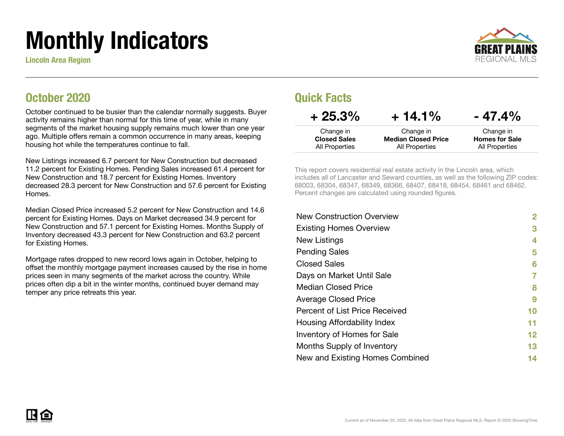# Monthly Indicators

Lincoln Area Region



#### October 2020

October continued to be busier than the calendar normally suggests. Buyer activity remains higher than normal for this time of year, while in many segments of the market housing supply remains much lower than one year ago. Multiple offers remain a common occurrence in many areas, keeping housing hot while the temperatures continue to fall.

New Listings increased 6.7 percent for New Construction but decreased 11.2 percent for Existing Homes. Pending Sales increased 61.4 percent for New Construction and 18.7 percent for Existing Homes. Inventory decreased 28.3 percent for New Construction and 57.6 percent for Existing Homes.

Median Closed Price increased 5.2 percent for New Construction and 14.6 percent for Existing Homes. Days on Market decreased 34.9 percent for New Construction and 57.1 percent for Existing Homes. Months Supply of Inventory decreased 43.3 percent for New Construction and 63.2 percent for Existing Homes.

Mortgage rates dropped to new record lows again in October, helping to offset the monthly mortgage payment increases caused by the rise in home prices seen in many segments of the market across the country. While prices often dip a bit in the winter months, continued buyer demand may temper any price retreats this year.

#### Quick Facts

| $+25.3\%$           | $+14.1%$                   | $-47.4%$              |
|---------------------|----------------------------|-----------------------|
| Change in           | Change in                  | Change in             |
| <b>Closed Sales</b> | <b>Median Closed Price</b> | <b>Homes for Sale</b> |
| All Properties      | All Properties             | All Properties        |

This report covers residential real estate activity in the Lincoln area, which includes all of Lancaster and Seward counties, as well as the following ZIP codes: 68003, 68304, 68347, 68349, 68366, 68407, 68418, 68454, 68461 and 68462. Percent changes are calculated using rounded figures.

| 2       |
|---------|
| 3       |
| 4       |
| 5       |
| 6       |
| 7       |
| 8       |
| 9       |
| 10      |
| 11      |
| $12 \,$ |
| 13      |
| 14      |
|         |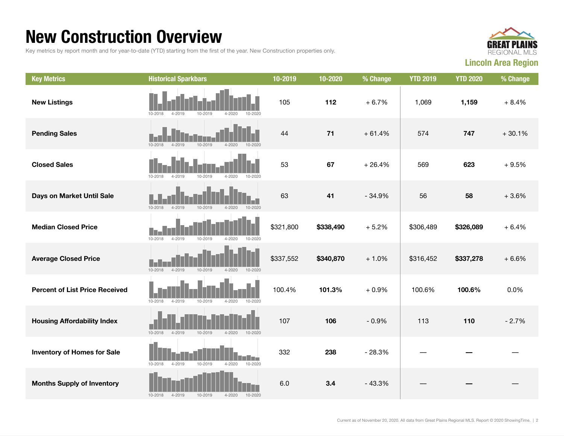### New Construction Overview

Key metrics by report month and for year-to-date (YTD) starting from the first of the year. New Construction properties only.



| <b>Key Metrics</b>                    | <b>Historical Sparkbars</b>                                                  | 10-2019   | 10-2020   | % Change | <b>YTD 2019</b> | <b>YTD 2020</b> | % Change |
|---------------------------------------|------------------------------------------------------------------------------|-----------|-----------|----------|-----------------|-----------------|----------|
| <b>New Listings</b>                   | 10-2018<br>4-2019<br>10-2019<br>$4 - 2020$<br>$10 - 2020$                    | 105       | 112       | $+6.7%$  | 1,069           | 1,159           | $+8.4%$  |
| <b>Pending Sales</b>                  | $10 - 2018$<br>$4 - 2019$<br>10-2019<br>$4 - 2020$<br>$10 - 2020$            | 44        | $71$      | $+61.4%$ | 574             | 747             | $+30.1%$ |
| <b>Closed Sales</b>                   | $4 - 2019$<br>10-2019<br>$4 - 2020$<br>10-2020<br>10-2018                    | 53        | 67        | $+26.4%$ | 569             | 623             | $+9.5%$  |
| Days on Market Until Sale             | $10 - 2018$<br>$4 - 2019$<br>10-2019<br>$4 - 2020$<br>10-2020                | 63        | 41        | $-34.9%$ | 56              | 58              | $+3.6%$  |
| <b>Median Closed Price</b>            | 10-2018<br>$4 - 2019$<br>10-2019<br>$4 - 2020$<br>10-2020                    | \$321,800 | \$338,490 | $+5.2%$  | \$306,489       | \$326,089       | $+6.4%$  |
| <b>Average Closed Price</b>           | $10 - 2018$<br>$4 - 2019$<br>10-2019<br>$4 - 2020$<br>10-2020                | \$337,552 | \$340,870 | $+1.0%$  | \$316,452       | \$337,278       | $+6.6%$  |
| <b>Percent of List Price Received</b> | $10 - 2018$<br>$4 - 2019$<br>10-2019<br>$4 - 2020$<br>10-2020                | 100.4%    | 101.3%    | $+0.9%$  | 100.6%          | 100.6%          | 0.0%     |
| <b>Housing Affordability Index</b>    | $10 - 2018$<br>$4 - 2019$<br>10-2019<br>$4 - 2020$<br>10-2020                | 107       | 106       | $-0.9%$  | 113             | 110             | $-2.7%$  |
| <b>Inventory of Homes for Sale</b>    | <b>THE REAL</b><br>10-2018<br>$4 - 2019$<br>10-2019<br>$4 - 2020$<br>10-2020 | 332       | 238       | $-28.3%$ |                 |                 |          |
| <b>Months Supply of Inventory</b>     | $4 - 2019$<br>10-2018<br>10-2019<br>$4 - 2020$<br>10-2020                    | 6.0       | 3.4       | $-43.3%$ |                 |                 |          |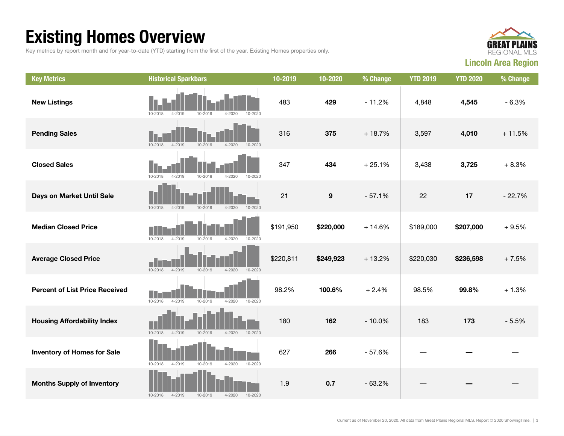## Existing Homes Overview

Key metrics by report month and for year-to-date (YTD) starting from the first of the year. Existing Homes properties only.



| <b>Key Metrics</b>                    | <b>Historical Sparkbars</b>                                       | 10-2019   | 10-2020          | % Change | <b>YTD 2019</b> | <b>YTD 2020</b> | % Change |
|---------------------------------------|-------------------------------------------------------------------|-----------|------------------|----------|-----------------|-----------------|----------|
| <b>New Listings</b>                   | 10-2018<br>$4 - 2019$<br>10-2019<br>$4 - 2020$<br>10-2020         | 483       | 429              | $-11.2%$ | 4,848           | 4,545           | $-6.3%$  |
| <b>Pending Sales</b>                  | $10 - 2018$<br>$4 - 2019$<br>$10 - 2019$<br>$4 - 2020$<br>10-2020 | 316       | 375              | $+18.7%$ | 3,597           | 4,010           | $+11.5%$ |
| <b>Closed Sales</b>                   | $4 - 2019$<br>10-2019<br>$4 - 2020$<br>$10 - 2018$<br>10-2020     | 347       | 434              | $+25.1%$ | 3,438           | 3,725           | $+8.3%$  |
| Days on Market Until Sale             | $10 - 2018$<br>$4 - 2019$<br>10-2019<br>$4 - 2020$<br>10-2020     | 21        | $\boldsymbol{9}$ | $-57.1%$ | 22              | 17              | $-22.7%$ |
| <b>Median Closed Price</b>            | $10 - 2018$<br>$4 - 2019$<br>10-2019<br>$4 - 2020$<br>10-2020     | \$191,950 | \$220,000        | $+14.6%$ | \$189,000       | \$207,000       | $+9.5%$  |
| <b>Average Closed Price</b>           | $10 - 2018$<br>$4 - 2019$<br>$10 - 2019$<br>$4 - 2020$<br>10-2020 | \$220,811 | \$249,923        | $+13.2%$ | \$220,030       | \$236,598       | $+7.5%$  |
| <b>Percent of List Price Received</b> | 4-2019<br>10-2019<br>$10 - 2018$<br>$4 - 2020$<br>10-2020         | 98.2%     | 100.6%           | $+2.4%$  | 98.5%           | 99.8%           | $+1.3%$  |
| <b>Housing Affordability Index</b>    | $10 - 2018$<br>$4 - 2019$<br>10-2019<br>$4 - 2020$<br>10-2020     | 180       | 162              | $-10.0%$ | 183             | 173             | $-5.5%$  |
| <b>Inventory of Homes for Sale</b>    | 10-2018<br>$4 - 2019$<br>10-2019<br>4-2020<br>10-2020             | 627       | 266              | $-57.6%$ |                 |                 |          |
| <b>Months Supply of Inventory</b>     | $4 - 2019$<br>10-2019<br>$4 - 2020$<br>10-2018<br>10-2020         | 1.9       | 0.7              | $-63.2%$ |                 |                 |          |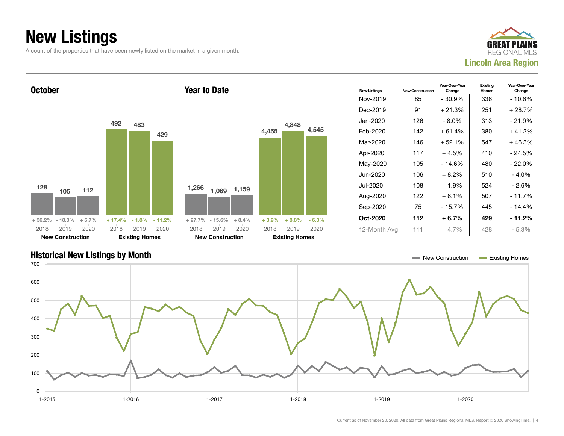## New Listings

A count of the properties that have been newly listed on the market in a given month.







#### Current as of November 20, 2020. All data from Great Plains Regional MLS. Report © 2020 ShowingTime. | 4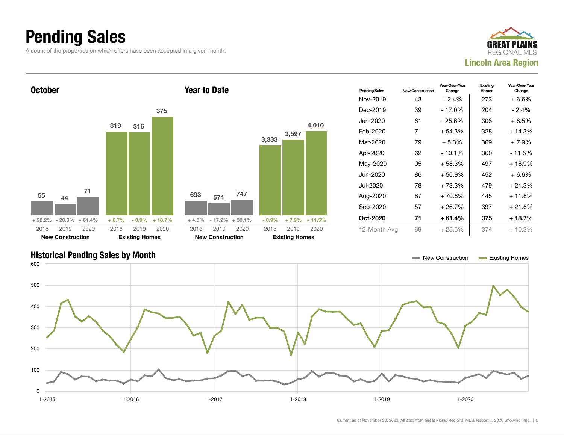## Pending Sales

A count of the properties on which offers have been accepted in a given month.





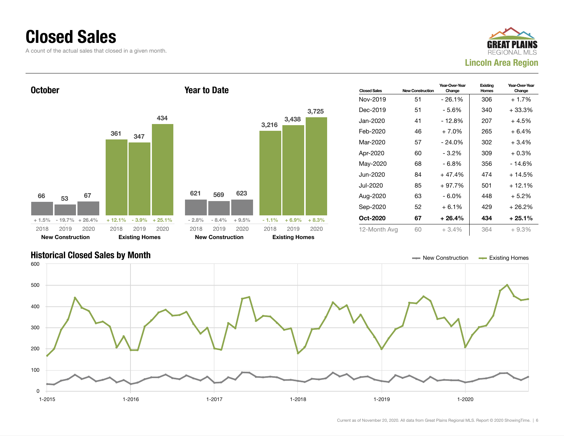#### Closed Sales

A count of the actual sales that closed in a given month.





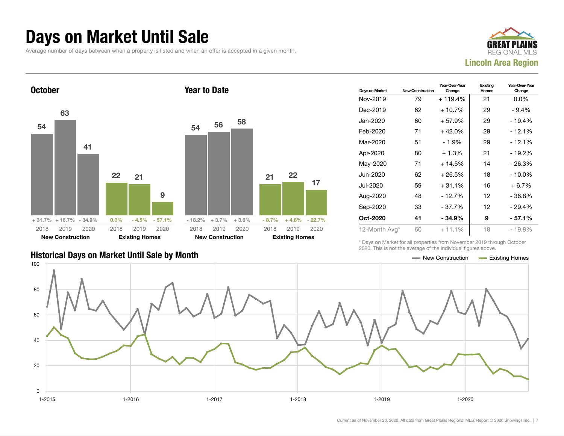#### Days on Market Until Sale

Average number of days between when a property is listed and when an offer is accepted in a given month.





|                                               | LULU. THIU IU HUL LIIU UYULUUU UI LIIU IHUIVIUULI IIYUI UU UDUYU. |  |
|-----------------------------------------------|-------------------------------------------------------------------|--|
| Historical Days on Market Until Sale by Month | $\equiv$ New Construction $\equiv$ Existing Homes                 |  |

| Days on Market | <b>New Construction</b> | Year-Over-Year<br>Change | Existing<br><b>Homes</b> | Year-Over-Year<br>Change |
|----------------|-------------------------|--------------------------|--------------------------|--------------------------|
| Nov-2019       | 79                      | + 119.4%                 | 21                       | $0.0\%$                  |
| Dec-2019       | 62                      | $+10.7%$                 | 29                       | $-9.4%$                  |
| Jan-2020       | 60                      | $+57.9%$                 | 29                       | $-19.4%$                 |
| Feb-2020       | 71                      | $+42.0%$                 | 29                       | - 12.1%                  |
| Mar-2020       | 51                      | $-1.9%$                  | 29                       | - 12.1%                  |
| Apr-2020       | 80                      | $+1.3%$                  | 21                       | $-19.2%$                 |
| May-2020       | 71                      | $+14.5%$                 | 14                       | - 26.3%                  |
| Jun-2020       | 62                      | $+26.5%$                 | 18                       | - 10.0%                  |
| Jul-2020       | 59                      | $+31.1%$                 | 16                       | $+6.7%$                  |
| Aug-2020       | 48                      | $-12.7%$                 | 12                       | - 36.8%                  |
| Sep-2020       | 33                      | $-37.7%$                 | 12                       | $-29.4%$                 |
| Oct-2020       | 41                      | $-34.9%$                 | 9                        | - 57.1%                  |
| 12-Month Avg*  | 60                      | $+11.1%$                 | 18                       | - 19.8%                  |

\* Days on Market for all properties from November 2019 through October 2020. This is not the average of the individual figures above.

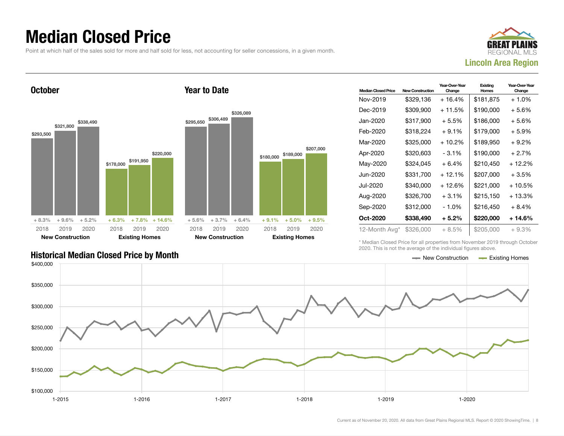### Median Closed Price

Point at which half of the sales sold for more and half sold for less, not accounting for seller concessions, in a given month.



**October** \$293,500 \$321,800 \$338,490 + 8.3% + 9.6% + 5.2% \$178,000 \$191,950 \$220,000  $+ 6.3\% + 7.8\% + 14.6\%$ 2018 New Construction 2019 2020 2018 Existing Homes 2019 2020 Year to Date \$295,650 \$306,489 \$326,089  $+ 5.6\% + 3.7\% + 6.4\%$ \$180,000 + 9.1% + 5.0% + 9.5% 2018 New Construction 2019 2020 2018

| <b>Median Closed Price</b> | <b>New Construction</b> | Year-Over-Year<br>Change | Existing<br>Homes | Year-Over-Year<br>Change |
|----------------------------|-------------------------|--------------------------|-------------------|--------------------------|
| Nov-2019                   | \$329,136               | + 16.4%                  | \$181,875         | $+1.0\%$                 |
| Dec-2019                   | \$309,900               | + 11.5%                  | \$190,000         | + 5.6%                   |
| Jan-2020                   | \$317,900               | $+5.5\%$                 | \$186.000         | + 5.6%                   |
| Feb-2020                   | \$318,224               | $+9.1%$                  | \$179,000         | + 5.9%                   |
| Mar-2020                   | \$325,000               | + 10.2%                  | \$189,950         | + 9.2%                   |
| Apr-2020                   | \$320,603               | $-3.1\%$                 | \$190.000         | $+2.7%$                  |
| May-2020                   | \$324,045               | $+6.4%$                  | \$210,450         | + 12.2%                  |
| Jun-2020                   | \$331,700               | + 12.1%                  | \$207.000         | + 3.5%                   |
| Jul-2020                   | \$340,000               | + 12.6%                  | \$221,000         | + 10.5%                  |
| Aug-2020                   | \$326,700               | $+3.1%$                  | \$215,150         | + 13.3%                  |
| Sep-2020                   | \$312,000               | - 1.0%                   | \$216.450         | + 8.4%                   |
| Oct-2020                   | \$338,490               | $+5.2\%$                 | \$220,000         | + 14.6%                  |
| 12-Month Avg*              | \$326,000               | $+8.5\%$                 | \$205,000         | $+9.3%$                  |

\* Median Closed Price for all properties from November 2019 through October 2020. This is not the average of the individual figures above.



\$189,000

Existing Homes

2019 2020

\$207,000

#### Historical Median Closed Price by Month **New York Construction According Closed Price by Month** New Construction According Homes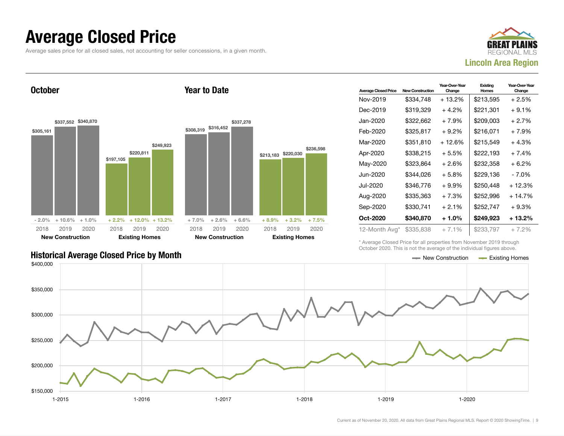#### Average Closed Price

Average sales price for all closed sales, not accounting for seller concessions, in a given month.



**October** 



Year to Date

| <b>Average Closed Price</b> | <b>New Construction</b> | Year-Over-Year<br>Change | Existing<br>Homes | Year-Over-Year<br>Change |
|-----------------------------|-------------------------|--------------------------|-------------------|--------------------------|
| Nov-2019                    | \$334,748               | $+13.2%$                 | \$213,595         | $+2.5%$                  |
| Dec-2019                    | \$319,329               | $+4.2%$                  | \$221,301         | $+9.1%$                  |
| Jan-2020                    | \$322,662               | $+7.9%$                  | \$209,003         | $+2.7%$                  |
| Feb-2020                    | \$325,817               | $+9.2\%$                 | \$216,071         | $+7.9%$                  |
| Mar-2020                    | \$351,810               | + 12.6%                  | \$215,549         | $+4.3%$                  |
| Apr-2020                    | \$338,215               | $+5.5%$                  | \$222,193         | $+7.4%$                  |
| May-2020                    | \$323,864               | $+2.6%$                  | \$232,358         | $+6.2%$                  |
| Jun-2020.                   | \$344.026               | $+5.8\%$                 | \$229,136         | - 7.0%                   |
| Jul-2020                    | \$346,776               | $+9.9%$                  | \$250,448         | + 12.3%                  |
| Aug-2020                    | \$335,363               | $+7.3%$                  | \$252,996         | $+14.7%$                 |
| Sep-2020                    | \$330.741               | $+2.1%$                  | \$252,747         | $+9.3%$                  |
| Oct-2020                    | \$340,870               | $+1.0\%$                 | \$249,923         | + 13.2%                  |
| 12-Month Avg*               | \$335,838               | $+7.1%$                  | \$233,797         | $+7.2\%$                 |

\* Average Closed Price for all properties from November 2019 through October 2020. This is not the average of the individual figures above.

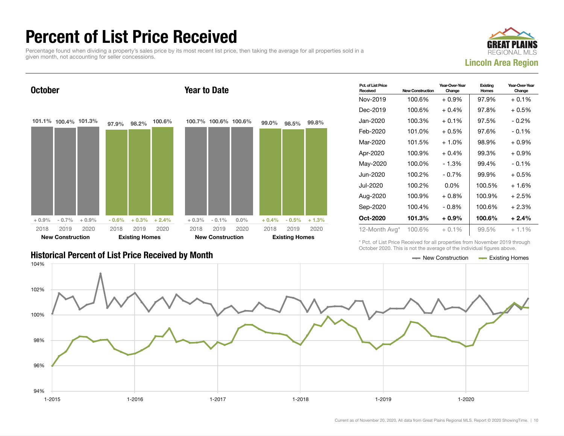## Percent of List Price Received

Percentage found when dividing a property's sales price by its most recent list price, then taking the average for all properties sold in a given month, not accounting for seller concessions.



Year-Over-Year

**Existing** 

Pct. of List Price **October** 101.1% 100.4% 101.3%  $+ 0.9\%$  - 0.7% + 0.9% 97.9% 98.2% 100.6%  $-0.6\%$   $+0.3\%$   $+2.4\%$ 2018 New Construction 2019 2020 2018 Existing Homes 2019 2020 Year to Date 100.7% 100.6% 100.6% + 0.3% - 0.1% 0.0% 99.0% 98.5% 99.8%  $+ 0.4\% - 0.5\% + 1.3\%$ 2018 New Construction 2019 2020 2018 Existing Homes 2019 2020

| <b>Historical Percent of List Price Received by Month</b> | — New Construction | <b>Existing Homes</b> |
|-----------------------------------------------------------|--------------------|-----------------------|

| Received      | <b>New Construction</b> | Change   | Homes  | Change   |
|---------------|-------------------------|----------|--------|----------|
| Nov-2019      | 100.6%                  | $+0.9%$  | 97.9%  | $+0.1\%$ |
| Dec-2019      | 100.6%                  | $+0.4%$  | 97.8%  | + 0.5%   |
| Jan-2020      | 100.3%                  | $+0.1%$  | 97.5%  | $-0.2%$  |
| Feb-2020      | 101.0%                  | $+0.5%$  | 97.6%  | $-0.1%$  |
| Mar-2020      | 101.5%                  | $+1.0%$  | 98.9%  | $+0.9\%$ |
| Apr-2020      | 100.9%                  | $+0.4%$  | 99.3%  | $+0.9%$  |
| May-2020      | 100.0%                  | $-1.3%$  | 99.4%  | $-0.1%$  |
| Jun-2020      | 100.2%                  | $-0.7%$  | 99.9%  | $+0.5%$  |
| Jul-2020      | 100.2%                  | $0.0\%$  | 100.5% | $+1.6%$  |
| Aug-2020      | 100.9%                  | $+0.8%$  | 100.9% | $+2.5%$  |
| Sep-2020      | 100.4%                  | $-0.8\%$ | 100.6% | + 2.3%   |
| Oct-2020      | 101.3%                  | $+0.9%$  | 100.6% | $+2.4%$  |
| 12-Month Avg* | 100.6%                  | $+0.1\%$ | 99.5%  | $+1.1%$  |

Year-Over-Year

\* Pct. of List Price Received for all properties from November 2019 through October 2020. This is not the average of the individual figures above.

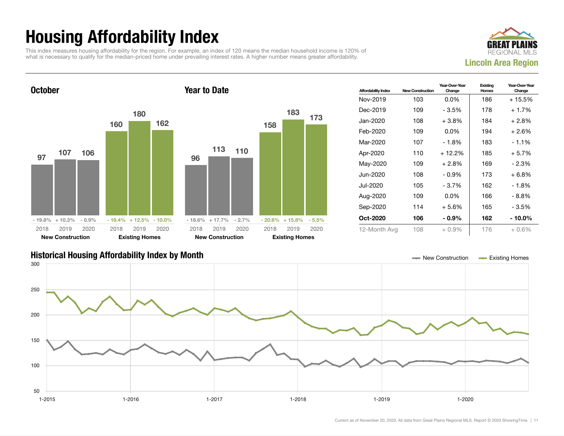## Housing Affordability Index

This index measures housing affordability for the region. For example, an index of 120 means the median household income is 120% of what is necessary to qualify for the median-priced home under prevailing interest rates. A higher number means greater affordability.





| <b>Affordability Index</b> | <b>New Construction</b> | Year-Over-Year<br>Change | Existing<br>Homes | Year-Over-Year<br>Change |
|----------------------------|-------------------------|--------------------------|-------------------|--------------------------|
| Nov-2019                   | 103                     | $0.0\%$                  | 186               | + 15.5%                  |
| Dec-2019                   | 109                     | - 3.5%                   | 178               | $+1.7%$                  |
| Jan-2020                   | 108                     | $+3.8\%$                 | 184               | + 2.8%                   |
| Feb-2020                   | 109                     | $0.0\%$                  | 194               | $+2.6%$                  |
| Mar-2020                   | 107                     | $-1.8%$                  | 183               | $-1.1\%$                 |
| Apr-2020                   | 110                     | $+12.2%$                 | 185               | $+5.7%$                  |
| May-2020                   | 109                     | $+2.8%$                  | 169               | $-2.3%$                  |
| Jun-2020                   | 108                     | $-0.9\%$                 | 173               | $+6.8%$                  |
| Jul-2020                   | 105                     | - 3.7%                   | 162               | - 1.8%                   |
| Aug-2020                   | 109                     | $0.0\%$                  | 166               | $-8.8%$                  |
| Sep-2020                   | 114                     | $+5.6%$                  | 165               | - 3.5%                   |
| Oct-2020                   | 106                     | $-0.9\%$                 | 162               | - 10.0%                  |
| 12-Month Avg               | 108                     | $+0.9\%$                 | 176               | $+0.6%$                  |

#### Historical Housing Affordability Index by Month New Construction Existing Homes

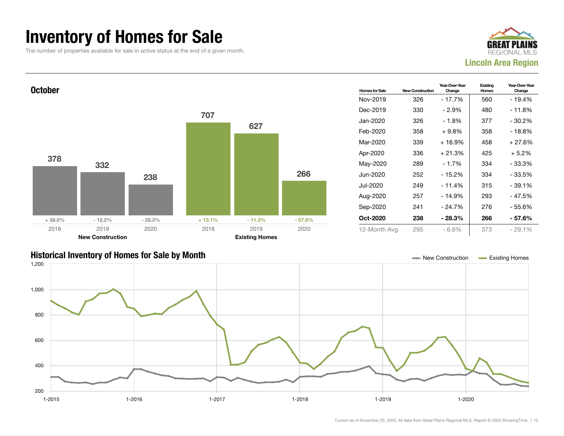### Inventory of Homes for Sale

The number of properties available for sale in active status at the end of a given month.





#### Historical Inventory of Homes for Sale by Month New Construction Existing Homes

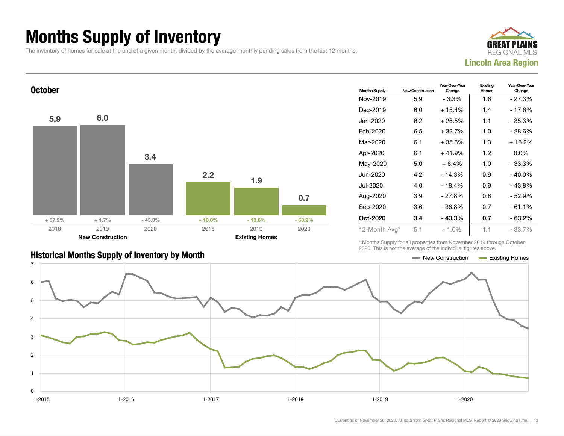## Months Supply of Inventory

The inventory of homes for sale at the end of a given month, divided by the average monthly pending sales from the last 12 months.





| <b>Historical Months Supply of Inventory by Month</b> | — New Construction | Existing Homes |
|-------------------------------------------------------|--------------------|----------------|

| <b>Months Supply</b> | <b>New Construction</b> | Year-Over-Year<br>Change | Existing<br>Homes | Year-Over-Year<br>Change |  |
|----------------------|-------------------------|--------------------------|-------------------|--------------------------|--|
| Nov-2019             | 5.9                     | $-3.3%$                  | 1.6               | $-27.3%$                 |  |
| Dec-2019             | 6.0                     | $+15.4%$                 | 1.4               | - 17.6%                  |  |
| Jan-2020             | 6.2                     | $+26.5%$                 | 1.1               | - 35.3%                  |  |
| Feb-2020             | 6.5                     | + 32.7%                  | 1.0               | - 28.6%                  |  |
| Mar-2020             | 6.1                     | +35.6%                   | 1.3               | $+18.2%$                 |  |
| Apr-2020             | 6.1                     | $+41.9%$                 | 1.2               | $0.0\%$                  |  |
| May-2020             | 5.0                     | $+6.4%$                  | 1.0               | $-33.3%$                 |  |
| Jun-2020             | 4.2                     | $-14.3%$                 | 0.9               | $-40.0\%$                |  |
| Jul-2020             | 4.0                     | $-18.4%$                 | 0.9               | - 43.8%                  |  |
| Aug-2020             | 3.9                     | $-27.8%$                 | 0.8               | - 52.9%                  |  |
| Sep-2020             | 3.6                     | $-36.8%$                 | 0.7               | $-61.1%$                 |  |
| Oct-2020             | 3.4                     | - 43.3%                  | 0.7               | - 63.2%                  |  |
| 12-Month Avg*        | 5.1                     | $-1.0%$                  | 1.1               | $-33.7\%$                |  |

\* Months Supply for all properties from November 2019 through October 2020. This is not the average of the individual figures above.